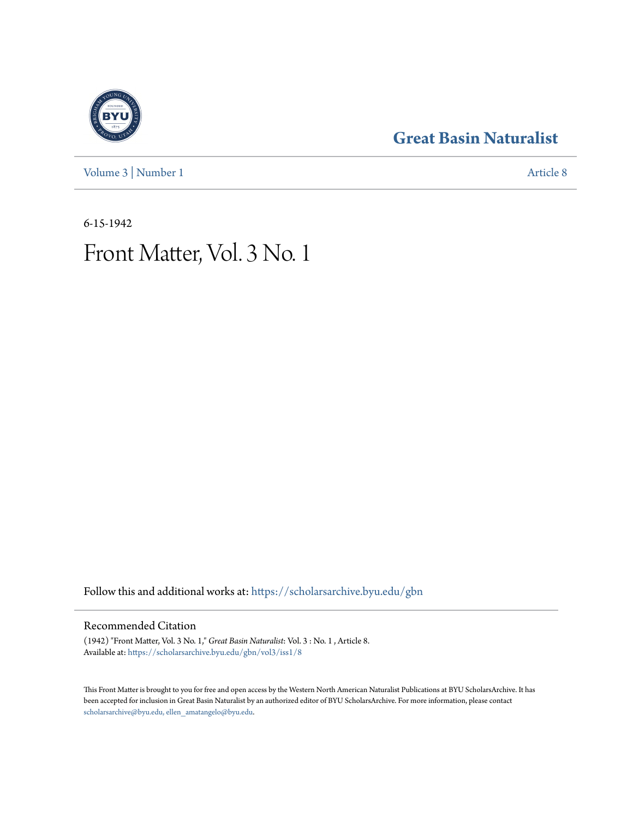### **[Great Basin Naturalist](https://scholarsarchive.byu.edu/gbn?utm_source=scholarsarchive.byu.edu%2Fgbn%2Fvol3%2Fiss1%2F8&utm_medium=PDF&utm_campaign=PDFCoverPages)**



[Volume 3](https://scholarsarchive.byu.edu/gbn/vol3?utm_source=scholarsarchive.byu.edu%2Fgbn%2Fvol3%2Fiss1%2F8&utm_medium=PDF&utm_campaign=PDFCoverPages) | [Number 1](https://scholarsarchive.byu.edu/gbn/vol3/iss1?utm_source=scholarsarchive.byu.edu%2Fgbn%2Fvol3%2Fiss1%2F8&utm_medium=PDF&utm_campaign=PDFCoverPages) [Article 8](https://scholarsarchive.byu.edu/gbn/vol3/iss1/8?utm_source=scholarsarchive.byu.edu%2Fgbn%2Fvol3%2Fiss1%2F8&utm_medium=PDF&utm_campaign=PDFCoverPages)

6-15-1942

## Front Matter, Vol. 3 No. 1

Follow this and additional works at: [https://scholarsarchive.byu.edu/gbn](https://scholarsarchive.byu.edu/gbn?utm_source=scholarsarchive.byu.edu%2Fgbn%2Fvol3%2Fiss1%2F8&utm_medium=PDF&utm_campaign=PDFCoverPages)

#### Recommended Citation

(1942) "Front Matter, Vol. 3 No. 1," *Great Basin Naturalist*: Vol. 3 : No. 1 , Article 8. Available at: [https://scholarsarchive.byu.edu/gbn/vol3/iss1/8](https://scholarsarchive.byu.edu/gbn/vol3/iss1/8?utm_source=scholarsarchive.byu.edu%2Fgbn%2Fvol3%2Fiss1%2F8&utm_medium=PDF&utm_campaign=PDFCoverPages)

This Front Matter is brought to you for free and open access by the Western North American Naturalist Publications at BYU ScholarsArchive. It has been accepted for inclusion in Great Basin Naturalist by an authorized editor of BYU ScholarsArchive. For more information, please contact [scholarsarchive@byu.edu, ellen\\_amatangelo@byu.edu.](mailto:scholarsarchive@byu.edu,%20ellen_amatangelo@byu.edu)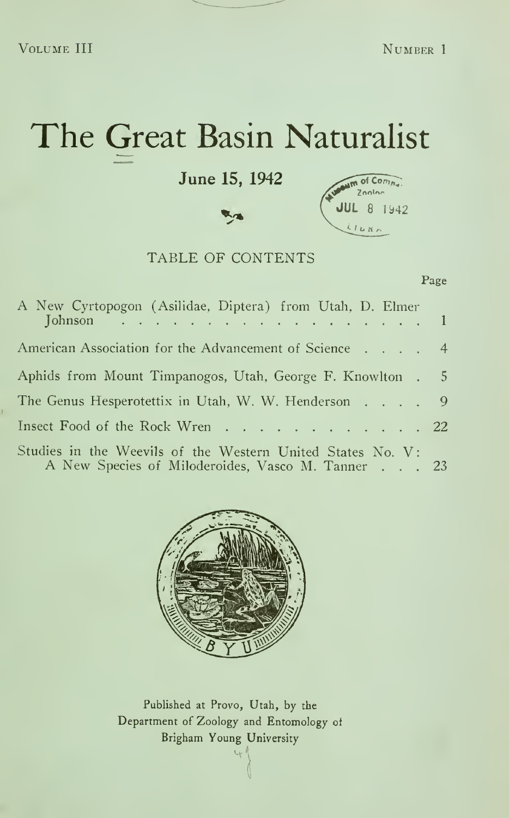# The Great Basin Naturalist

June 15, 1942



#### TABLE OF CONTENTS

#### Page

| A New Cyrtopogon (Asilidae, Diptera) from Utah, D. Elmer<br>Johnson $\ldots$ 1                                  |  |
|-----------------------------------------------------------------------------------------------------------------|--|
| American Association for the Advancement of Science 4                                                           |  |
| Aphids from Mount Timpanogos, Utah, George F. Knowlton . 5                                                      |  |
| The Genus Hesperotettix in Utah, W. W. Henderson 9                                                              |  |
| Insect Food of the Rock Wren 22                                                                                 |  |
| Studies in the Weevils of the Western United States No. V:<br>A New Species of Miloderoides, Vasco M. Tanner 23 |  |



Published at Provo, Utah, by the Department of Zoology and Entomology of Brigham Young University $\mathcal{A}$